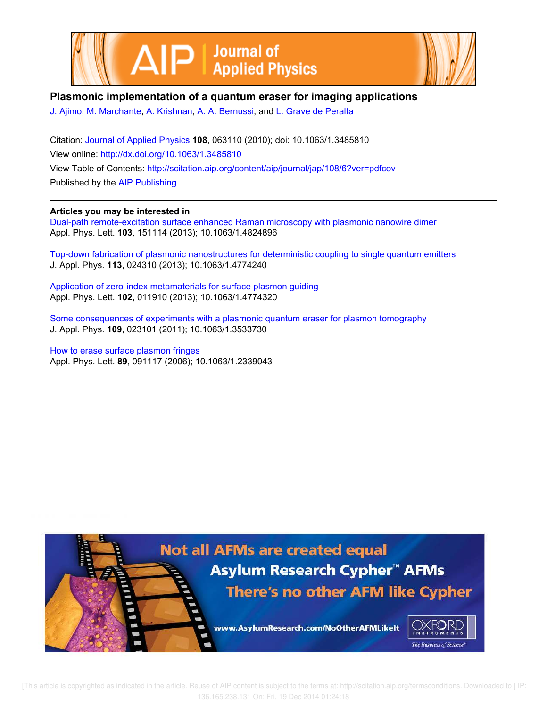



# **Plasmonic implementation of a quantum eraser for imaging applications**

J. Ajimo, M. Marchante, A. Krishnan, A. A. Bernussi, and L. Grave de Peralta

Citation: Journal of Applied Physics **108**, 063110 (2010); doi: 10.1063/1.3485810 View online: http://dx.doi.org/10.1063/1.3485810 View Table of Contents: http://scitation.aip.org/content/aip/journal/jap/108/6?ver=pdfcov Published by the AIP Publishing

## **Articles you may be interested in**

Dual-path remote-excitation surface enhanced Raman microscopy with plasmonic nanowire dimer Appl. Phys. Lett. **103**, 151114 (2013); 10.1063/1.4824896

Top-down fabrication of plasmonic nanostructures for deterministic coupling to single quantum emitters J. Appl. Phys. **113**, 024310 (2013); 10.1063/1.4774240

Application of zero-index metamaterials for surface plasmon guiding Appl. Phys. Lett. **102**, 011910 (2013); 10.1063/1.4774320

Some consequences of experiments with a plasmonic quantum eraser for plasmon tomography J. Appl. Phys. **109**, 023101 (2011); 10.1063/1.3533730

How to erase surface plasmon fringes Appl. Phys. Lett. **89**, 091117 (2006); 10.1063/1.2339043



 [This article is copyrighted as indicated in the article. Reuse of AIP content is subject to the terms at: http://scitation.aip.org/termsconditions. Downloaded to ] IP: 136.165.238.131 On: Fri, 19 Dec 2014 01:24:18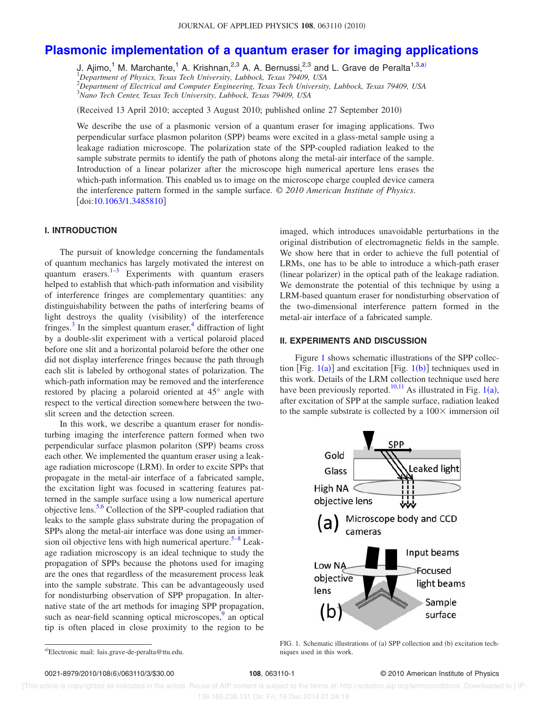# **Plasmonic implementation of a quantum eraser for imaging applications**

J. Ajimo,<sup>1</sup> M. Marchante,<sup>1</sup> A. Krishnan,<sup>2,3</sup> A. A. Bernussi,<sup>2,3</sup> and L. Grave de Peralta<sup>1,3,a)</sup><br><sup>1</sup>Department of Physics, Texas Tech University, Lubbock, Texas 79409, USA <sup>2</sup>*Department of Electrical and Computer Engineering, Texas Tech University, Lubbock, Texas 79409, USA* <sup>3</sup>*Nano Tech Center, Texas Tech University, Lubbock, Texas 79409, USA*

(Received 13 April 2010; accepted 3 August 2010; published online 27 September 2010)

We describe the use of a plasmonic version of a quantum eraser for imaging applications. Two perpendicular surface plasmon polariton (SPP) beams were excited in a glass-metal sample using a leakage radiation microscope. The polarization state of the SPP-coupled radiation leaked to the sample substrate permits to identify the path of photons along the metal-air interface of the sample. Introduction of a linear polarizer after the microscope high numerical aperture lens erases the which-path information. This enabled us to image on the microscope charge coupled device camera the interference pattern formed in the sample surface. © *2010 American Institute of Physics*. [doi:10.1063/1.3485810]

### **I. INTRODUCTION**

The pursuit of knowledge concerning the fundamentals of quantum mechanics has largely motivated the interest on quantum erasers. $1-3$  Experiments with quantum erasers helped to establish that which-path information and visibility of interference fringes are complementary quantities: any distinguishability between the paths of interfering beams of light destroys the quality (visibility) of the interference fringes. $3$  In the simplest quantum eraser,  $4$  diffraction of light by a double-slit experiment with a vertical polaroid placed before one slit and a horizontal polaroid before the other one did not display interference fringes because the path through each slit is labeled by orthogonal states of polarization. The which-path information may be removed and the interference restored by placing a polaroid oriented at 45° angle with respect to the vertical direction somewhere between the twoslit screen and the detection screen.

In this work, we describe a quantum eraser for nondisturbing imaging the interference pattern formed when two perpendicular surface plasmon polariton (SPP) beams cross each other. We implemented the quantum eraser using a leakage radiation microscope (LRM). In order to excite SPPs that propagate in the metal-air interface of a fabricated sample, the excitation light was focused in scattering features patterned in the sample surface using a low numerical aperture objective lens.5,6 Collection of the SPP-coupled radiation that leaks to the sample glass substrate during the propagation of SPPs along the metal-air interface was done using an immersion oil objective lens with high numerical aperture.<sup>5-8</sup> Leakage radiation microscopy is an ideal technique to study the propagation of SPPs because the photons used for imaging are the ones that regardless of the measurement process leak into the sample substrate. This can be advantageously used for nondisturbing observation of SPP propagation. In alternative state of the art methods for imaging SPP propagation, such as near-field scanning optical microscopes, $9 \text{ an optical}$ tip is often placed in close proximity to the region to be

imaged, which introduces unavoidable perturbations in the original distribution of electromagnetic fields in the sample. We show here that in order to achieve the full potential of LRMs, one has to be able to introduce a which-path eraser (linear polarizer) in the optical path of the leakage radiation. We demonstrate the potential of this technique by using a LRM-based quantum eraser for nondisturbing observation of the two-dimensional interference pattern formed in the metal-air interface of a fabricated sample.

#### **II. EXPERIMENTS AND DISCUSSION**

Figure 1 shows schematic illustrations of the SPP collection [Fig.  $1(a)$ ] and excitation [Fig.  $1(b)$ ] techniques used in this work. Details of the LRM collection technique used here have been previously reported.<sup>10,11</sup> As illustrated in Fig. 1(a), after excitation of SPP at the sample surface, radiation leaked to the sample substrate is collected by a  $100\times$  immersion oil



FIG. 1. Schematic illustrations of (a) SPP collection and (b) excitation techniques used in this work.

#### 108, 063110-1 **108**, 063110-1 **108**, 063110-1

 [This article is copyrighted as indicated in the article. Reuse of AIP content is subject to the terms at: http://scitation.aip.org/termsconditions. Downloaded to ] IP: 136.165.238.131 On: Fri, 19 Dec 2014 01:24:18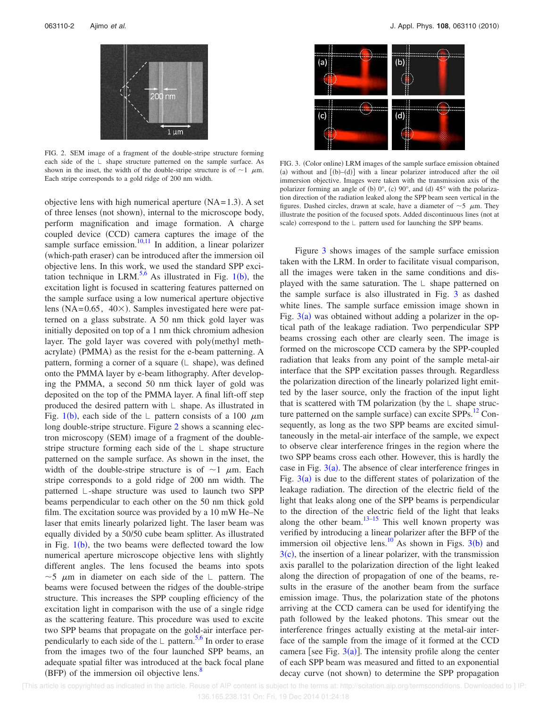

FIG. 2. SEM image of a fragment of the double-stripe structure forming each side of the  $\Box$  shape structure patterned on the sample surface. As shown in the inset, the width of the double-stripe structure is of  $\sim$ 1  $\mu$ m. Each stripe corresponds to a gold ridge of 200 nm width.

objective lens with high numerical aperture  $(NA=1.3)$ . A set of three lenses (not shown), internal to the microscope body, perform magnification and image formation. A charge coupled device (CCD) camera captures the image of the sample surface emission. $10,11$  In addition, a linear polarizer (which-path eraser) can be introduced after the immersion oil objective lens. In this work, we used the standard SPP excitation technique in LRM.<sup>5,6</sup> As illustrated in Fig. 1(b), the excitation light is focused in scattering features patterned on the sample surface using a low numerical aperture objective lens (NA= $0.65$ , 40 $\times$ ). Samples investigated here were patterned on a glass substrate. A 50 nm thick gold layer was initially deposited on top of a 1 nm thick chromium adhesion layer. The gold layer was covered with poly(methyl methacrylate) (PMMA) as the resist for the e-beam patterning. A pattern, forming a corner of a square (L shape), was defined onto the PMMA layer by e-beam lithography. After developing the PMMA, a second 50 nm thick layer of gold was deposited on the top of the PMMA layer. A final lift-off step produced the desired pattern with  $\mathsf{\bot}$  shape. As illustrated in Fig. 1(b), each side of the  $\perp$  pattern consists of a 100  $\mu$ m long double-stripe structure. Figure 2 shows a scanning electron microscopy (SEM) image of a fragment of the doublestripe structure forming each side of the  $\perp$  shape structure patterned on the sample surface. As shown in the inset, the width of the double-stripe structure is of  $\sim$ 1  $\mu$ m. Each stripe corresponds to a gold ridge of 200 nm width. The patterned L-shape structure was used to launch two SPP beams perpendicular to each other on the 50 nm thick gold film. The excitation source was provided by a 10 mW He–Ne laser that emits linearly polarized light. The laser beam was equally divided by a 50/50 cube beam splitter. As illustrated in Fig.  $1(b)$ , the two beams were deflected toward the low numerical aperture microscope objective lens with slightly different angles. The lens focused the beams into spots  $\sim$  5  $\mu$ m in diameter on each side of the  $\perp$  pattern. The beams were focused between the ridges of the double-stripe structure. This increases the SPP coupling efficiency of the excitation light in comparison with the use of a single ridge as the scattering feature. This procedure was used to excite two SPP beams that propagate on the gold-air interface perpendicularly to each side of the  $\perp$  pattern.<sup>5,6</sup> In order to erase from the images two of the four launched SPP beams, an adequate spatial filter was introduced at the back focal plane  $(BFP)$  of the immersion oil objective lens.<sup>8</sup>



FIG. 3. (Color online) LRM images of the sample surface emission obtained (a) without and  $[(b)-(d)]$  with a linear polarizer introduced after the oil immersion objective. Images were taken with the transmission axis of the polarizer forming an angle of (b)  $0^\circ$ , (c)  $90^\circ$ , and (d)  $45^\circ$  with the polarization direction of the radiation leaked along the SPP beam seen vertical in the figures. Dashed circles, drawn at scale, have a diameter of  $\sim$  5  $\mu$ m. They illustrate the position of the focused spots. Added discontinuous lines (not at scale) correspond to the  $\mathsf{\mathsf{\mathsf{\mathsf{L}}}}$  pattern used for launching the SPP beams.

Figure 3 shows images of the sample surface emission taken with the LRM. In order to facilitate visual comparison, all the images were taken in the same conditions and displayed with the same saturation. The  $\bot$  shape patterned on the sample surface is also illustrated in Fig. 3 as dashed white lines. The sample surface emission image shown in Fig.  $3(a)$  was obtained without adding a polarizer in the optical path of the leakage radiation. Two perpendicular SPP beams crossing each other are clearly seen. The image is formed on the microscope CCD camera by the SPP-coupled radiation that leaks from any point of the sample metal-air interface that the SPP excitation passes through. Regardless the polarization direction of the linearly polarized light emitted by the laser source, only the fraction of the input light that is scattered with TM polarization (by the  $\mathsf{\bot}$  shape structure patterned on the sample surface) can excite  $SPPs.<sup>12</sup>$  Consequently, as long as the two SPP beams are excited simultaneously in the metal-air interface of the sample, we expect to observe clear interference fringes in the region where the two SPP beams cross each other. However, this is hardly the case in Fig.  $3(a)$ . The absence of clear interference fringes in Fig.  $3(a)$  is due to the different states of polarization of the leakage radiation. The direction of the electric field of the light that leaks along one of the SPP beams is perpendicular to the direction of the electric field of the light that leaks along the other beam.<sup>13–15</sup> This well known property was verified by introducing a linear polarizer after the BFP of the immersion oil objective lens.<sup>10</sup> As shown in Figs.  $3(b)$  and  $3(c)$ , the insertion of a linear polarizer, with the transmission axis parallel to the polarization direction of the light leaked along the direction of propagation of one of the beams, results in the erasure of the another beam from the surface emission image. Thus, the polarization state of the photons arriving at the CCD camera can be used for identifying the path followed by the leaked photons. This smear out the interference fringes actually existing at the metal-air interface of the sample from the image of it formed at the CCD camera [see Fig.  $3(a)$ ]. The intensity profile along the center of each SPP beam was measured and fitted to an exponential decay curve (not shown) to determine the SPP propagation